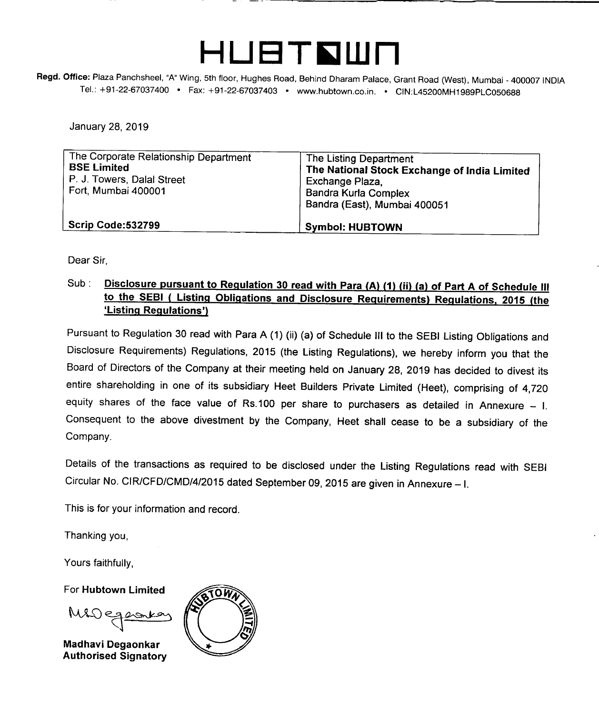

Regd. Office: Plaza Panchsheel, "A" Wing, 5th floor, Hughes Road, Behind Dharam Palace, Grant Road (West), Mumbai - 400007 INDIA Tel.: +91-22-67037400 • Fax: +91-22-67037403 • [www.hubtown.co.in.](http://www.hubtown.co.in.) • CIN:L45200MH1989PLC050688

January 28,2019

| The Corporate Relationship Department<br><b>BSE Limited</b><br>P. J. Towers, Dalal Street<br>Fort, Mumbai 400001 | The Listing Department<br>The National Stock Exchange of India Limited<br>Exchange Plaza,<br>Bandra Kurla Complex<br>Bandra (East), Mumbai 400051 |
|------------------------------------------------------------------------------------------------------------------|---------------------------------------------------------------------------------------------------------------------------------------------------|
| Scrip Code:532799                                                                                                | <b>Symbol: HUBTOWN</b>                                                                                                                            |

Dear Sir,

## Sub: **Disclosure pursuant to Regulation 30 read with Para (A) (1) (in (a) of Part A of Schedule III to the SEBI ( Listing Obligations and Disclosure Requirements) Regulations. 2015 (the 'Listing Regulations')**

Pursuant to Regulation 30 read with Para A (1) (ii) (a) of Schedule **III** to the SEBI Listing Obligations and Disclosure Requirements) Regulations, 2015 (the Listing Regulations), we hereby inform you that the Board of Directors of the Company at their meeting held on January 28, 2019 has decided to divest its entire shareholding in one of its subsidiary Heet Builders Private Limited (Heet), comprising of 4,720 equity shares of the face value of Rs.100 per share to purchasers as detailed in Annexure  $-$  I. Consequent to the above divestment by the Company, Heet shall cease to be a subsidiary of the Company.

Details of the transactions as required to be disclosed under the Listing Regulations read with SEBI Circular No. CIR/CFD/CMD/4/2015 dated September 09,2015 are given in Annexure-I.

This is for your information and record.

Thanking you,

Yours faithfully,

For **Hubtown Limited**

MIDegeomes

**Madhavi Degaonkar Authorised Signatory**